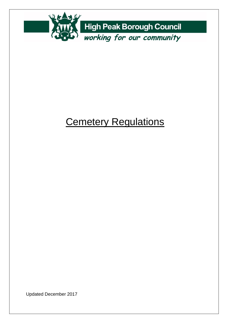

# **Cemetery Regulations**

Updated December 2017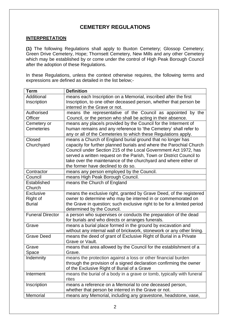# **CEMETERY REGULATIONS**

#### **INTERPRETATION**

**(1)** The following Regulations shall apply to Buxton Cemetery; Glossop Cemetery; Green Drive Cemetery, Hope; Thornsett Cemetery, New Mills and any other Cemetery which may be established by or come under the control of High Peak Borough Council after the adoption of these Regulations.

In these Regulations, unless the context otherwise requires, the following terms and expressions are defined as detailed in the list below;-

| <b>Term</b>             | <b>Definition</b>                                                      |  |  |  |
|-------------------------|------------------------------------------------------------------------|--|--|--|
| Additional              | means each Inscription on a Memorial, inscribed after the first        |  |  |  |
| Inscription             | Inscription, to one other deceased person, whether that person be      |  |  |  |
|                         | interred in the Grave or not.                                          |  |  |  |
| Authorised              | means the representative of the Council as appointed by the            |  |  |  |
| Officer                 | Council, or the person who shall be acting in their absence.           |  |  |  |
| Cemetery or             | means any place/s provided by the Council for the Interment of         |  |  |  |
| <b>Cemeteries</b>       | human remains and any reference to 'the Cemetery' shall refer to       |  |  |  |
|                         | any or all of the Cemeteries to which these Regulations apply.         |  |  |  |
| Closed                  | means a Church of England burial ground that no longer has             |  |  |  |
| Churchyard              | capacity for further planned burials and where the Parochial Church    |  |  |  |
|                         | Council under Section 215 of the Local Government Act 1972, has        |  |  |  |
|                         | served a written request on the Parish, Town or District Council to    |  |  |  |
|                         | take over the maintenance of the churchyard and where either of        |  |  |  |
|                         | the former have declined to do so.                                     |  |  |  |
| Contractor              | means any person employed by the Council.                              |  |  |  |
| Council                 | means High Peak Borough Council.                                       |  |  |  |
| Established             | means the Church of England                                            |  |  |  |
| Church                  |                                                                        |  |  |  |
| <b>Exclusive</b>        | means the exclusive right, granted by Grave Deed, of the registered    |  |  |  |
| Right of                | owner to determine who may be interred in or commemorated on           |  |  |  |
| <b>Burial</b>           | the Grave in question; such exclusive right to be for a limited period |  |  |  |
|                         | determined by the Council.                                             |  |  |  |
| <b>Funeral Director</b> | a person who supervises or conducts the preparation of the dead        |  |  |  |
|                         | for burials and who directs or arranges funerals.                      |  |  |  |
| Grave                   | means a burial place formed in the ground by excavation and            |  |  |  |
|                         | without any internal wall of brickwork, stonework or any other lining. |  |  |  |
| <b>Grave Deed</b>       | means the deed of grant of Exclusive Right of Burial in a Private      |  |  |  |
|                         | Grave or Vault.                                                        |  |  |  |
| Grave                   | means that area allowed by the Council for the establishment of a      |  |  |  |
| Space                   | Grave.                                                                 |  |  |  |
| Indemnity               | means the protection against a loss or other financial burden          |  |  |  |
|                         | through the provision of a signed declaration confirming the owner     |  |  |  |
|                         | of the Exclusive Right of Burial of a Grave                            |  |  |  |
| Interment               | means the burial of a body in a grave or tomb, typically with funeral  |  |  |  |
|                         | rites                                                                  |  |  |  |
| Inscription             | means a reference on a Memorial to one deceased person,                |  |  |  |
|                         | whether that person be interred in the Grave or not.                   |  |  |  |
| Memorial                | means any Memorial, including any gravestone, headstone, vase,         |  |  |  |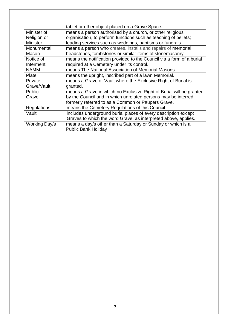|                    | tablet or other object placed on a Grave Space.                       |
|--------------------|-----------------------------------------------------------------------|
| Minister of        | means a person authorised by a church, or other religious             |
| Religion or        | organisation, to perform functions such as teaching of beliefs;       |
| <b>Minister</b>    | leading services such as weddings, baptisms or funerals.              |
| Monumental         | means a person who creates, installs and repairs of memorial          |
| Mason              | headstones, tombstones or similar items of stonemasonry               |
| Notice of          | means the notification provided to the Council via a form of a burial |
| Interment          | required at a Cemetery under its control.                             |
| <b>NAMM</b>        | means The National Association of Memorial Masons.                    |
| Plate              | means the upright, inscribed part of a lawn Memorial.                 |
| Private            | means a Grave or Vault where the Exclusive Right of Burial is         |
| Grave/Vault        | granted.                                                              |
| Public             | means a Grave in which no Exclusive Right of Burial will be granted   |
| Grave              | by the Council and in which unrelated persons may be interred;        |
|                    | formerly referred to as a Common or Paupers Grave.                    |
| <b>Regulations</b> | means the Cemetery Regulations of this Council                        |
| Vault              | includes underground burial places of every description except        |
|                    | Graves to which the word Grave, as interpreted above, applies.        |
| Working Day/s      | means a day/s other than a Saturday or Sunday or which is a           |
|                    | <b>Public Bank Holiday</b>                                            |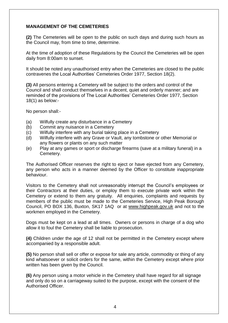## **MANAGEMENT OF THE CEMETERIES**

**(2)** The Cemeteries will be open to the public on such days and during such hours as the Council may, from time to time, determine.

At the time of adoption of these Regulations by the Council the Cemeteries will be open daily from 8:00am to sunset.

It should be noted any unauthorised entry when the Cemeteries are closed to the public contravenes the Local Authorities' Cemeteries Order 1977, Section 18(2).

**(3)** All persons entering a Cemetery will be subject to the orders and control of the Council and shall conduct themselves in a decent, quiet and orderly manner; and are reminded of the provisions of The Local Authorities' Cemeteries Order 1977, Section  $18(1)$  as below:-

No person shall:-

- (a) Wilfully create any disturbance in a Cemetery
- (b) Commit any nuisance in a Cemetery
- (c) Wilfully interfere with any burial taking place in a Cemetery
- (d) Wilfully interfere with any Grave or Vault, any tombstone or other Memorial or any flowers or plants on any such matter
- (e) Play at any games or sport or discharge firearms (save at a military funeral) in a Cemetery.

The Authorised Officer reserves the right to eject or have ejected from any Cemetery, any person who acts in a manner deemed by the Officer to constitute inappropriate behaviour.

Visitors to the Cemetery shall not unreasonably interrupt the Council's employees or their Contractors at their duties, or employ them to execute private work within the Cemetery or extend to them any gratuity. All enquiries, complaints and requests by members of the public must be made to the Cemeteries Service, High Peak Borough Council, PO BOX 136, Buxton, SK17 1AQ or at [www.highpeak.gov.uk](http://www.highpeak.gov.uk/) and not to the workmen employed in the Cemetery.

Dogs must be kept on a lead at all times. Owners or persons in charge of a dog who allow it to foul the Cemetery shall be liable to prosecution.

**(4)** Children under the age of 12 shall not be permitted in the Cemetery except where accompanied by a responsible adult.

**(5)** No person shall sell or offer or expose for sale any article, commodity or thing of any kind whatsoever or solicit orders for the same, within the Cemetery except where prior written has been given by the Council.

**(6)** Any person using a motor vehicle in the Cemetery shall have regard for all signage and only do so on a carriageway suited to the purpose, except with the consent of the Authorised Officer.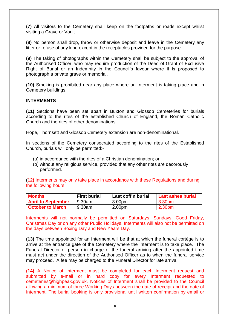**(7)** All visitors to the Cemetery shall keep on the footpaths or roads except whilst visiting a Grave or Vault.

**(8)** No person shall drop, throw or otherwise deposit and leave in the Cemetery any litter or refuse of any kind except in the receptacles provided for the purpose.

**(9)** The taking of photographs within the Cemetery shall be subject to the approval of the Authorised Officer, who may require production of the Deed of Grant of Exclusive Right of Burial or an Indemnity in the Council's favour where it is proposed to photograph a private grave or memorial.

**(10)** Smoking is prohibited near any place where an Interment is taking place and in Cemetery buildings.

#### **INTERMENTS**

**(11)** Sections have been set apart in Buxton and Glossop Cemeteries for burials according to the rites of the established Church of England, the Roman Catholic Church and the rites of other denominations.

Hope, Thornsett and Glossop Cemetery extension are non-denominational.

In sections of the Cemetery consecrated according to the rites of the Established Church, burials will only be permitted:-

- (a) in accordance with the rites of a Christian denomination; or
- (b) without any religious service, provided that any other rites are decorously performed.

**(12)** Interments may only take place in accordance with these Regulations and during the following hours:

| <b>Months</b>             | <b>First burial</b> | <b>Last coffin burial</b> | <b>Last ashes burial</b> |
|---------------------------|---------------------|---------------------------|--------------------------|
| <b>April to September</b> | 9.30am              | 3.00 <sub>pm</sub>        | 3.30pm                   |
| <b>October to March</b>   | 9.30am              | 2.00 <sub>pm</sub>        | 2.30pm                   |

Interments will not normally be permitted on Saturdays, Sundays, Good Friday, Christmas Day or on any other Public Holidays. Interments will also not be permitted on the days between Boxing Day and New Years Day.

**(13)** The time appointed for an Interment will be that at which the funeral cortège is to arrive at the entrance gate of the Cemetery where the Interment is to take place. The Funeral Director or person in charge of the funeral arriving after the appointed time must act under the direction of the Authorised Officer as to when the funeral service may proceed. A fee may be charged to the Funeral Director for late arrival.

**(14)** A Notice of Interment must be completed for each Interment request and submitted by e-mail or in hard copy for every Interment requested to cemeteries@highpeak.gov.uk. Notices of Interment shall be provided to the Council allowing a minimum of three Working Days between the date of receipt and the date of Interment. The burial booking is only provisional until written confirmation by email or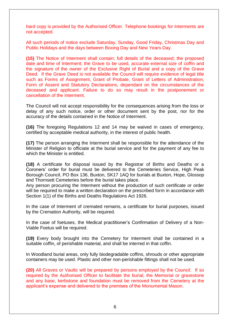hard copy is provided by the Authorised Officer. Telephone bookings for Interments are not accepted.

All such periods of notice exclude Saturday, Sunday, Good Friday, Christmas Day and Public Holidays and the days between Boxing Day and New Years Day.

**(15)** The Notice of Interment shall contain; full details of the deceased; the proposed date and time of Interment; the Grave to be used, accurate external size of coffin and the signature of the owner of the Exclusive Right of Burial and a copy of the Grave Deed. If the Grave Deed is not available the Council will require evidence of legal title such as Forms of Assignment, Grant of Probate, Grant of Letters of Administration, Form of Assent and Statutory Declarations, dependant on the circumstances of the deceased and applicant. Failure to do so may result in the postponement or cancellation of the Interment.

The Council will not accept responsibility for the consequences arising from the loss or delay of any such notice, order or other document sent by the post, nor for the accuracy of the details contained in the Notice of Interment.

**(16)** The foregoing Regulations 12 and 14 may be waived in cases of emergency, certified by acceptable medical authority, in the interest of public health.

**(17)** The person arranging the Interment shall be responsible for the attendance of the Minister of Religion to officiate at the burial service and for the payment of any fee to which the Minister is entitled.

**(18)** A certificate for disposal issued by the Registrar of Births and Deaths or a Coroners' order for burial must be delivered to the Cemeteries Service, High Peak Borough Council, PO Box 136, Buxton, SK17 1AQ for burials at Buxton, Hope, Glossop and Thornsett Cemeteries before the burial takes place.

Any person procuring the Interment without the production of such certificate or order will be required to make a written declaration on the prescribed form in accordance with Section 1(1) of the Births and Deaths Regulations Act 1926.

In the case of Interment of cremated remains, a certificate for burial purposes, issued by the Cremation Authority, will be required.

In the case of foetuses, the Medical practitioner's Confirmation of Delivery of a Non-Viable Foetus will be required.

**(19)** Every body brought into the Cemetery for Interment shall be contained in a suitable coffin, of perishable material, and shall be interred in that coffin.

In Woodland burial areas, only fully biodegradable coffins, shrouds or other appropriate containers may be used. Plastic and other non-perishable fittings shall not be used.

**(20)** All Graves or Vaults will be prepared by persons employed by the Council. If so required by the Authorised Officer to facilitate the burial, the Memorial or gravestone and any base, kerbstone and foundation must be removed from the Cemetery at the applicant's expense and delivered to the premises of the Monumental Mason.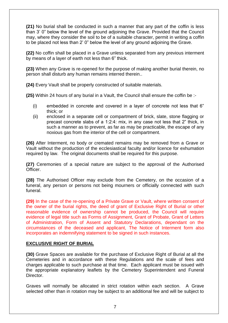**(21)** No burial shall be conducted in such a manner that any part of the coffin is less than 3' 0" below the level of the ground adjoining the Grave. Provided that the Council may, where they consider the soil to be of a suitable character, permit in writing a coffin to be placed not less than 2' 0" below the level of any ground adjoining the Grave.

**(22)** No coffin shall be placed in a Grave unless separated from any previous interment by means of a layer of earth not less than 6" thick.

**(23)** When any Grave is re-opened for the purpose of making another burial therein, no person shall disturb any human remains interred therein..

**(24)** Every Vault shall be properly constructed of suitable materials.

**(25)** Within 24 hours of any burial in a Vault, the Council shall ensure the coffin be :-

- (i) embedded in concrete and covered in a layer of concrete not less that 6" thick; or
- (ii) enclosed in a separate cell or compartment of brick, slate, stone flagging or precast concrete slabs of a 1:2:4: mix, in any case not less that 2" thick, in such a manner as to prevent, as far as may be practicable, the escape of any noxious gas from the interior of the cell or compartment.

**(26)** After Interment, no body or cremated remains may be removed from a Grave or Vault without the production of the ecclesiastical faculty and/or licence for exhumation required by law. The original documents shall be required for this purpose.

**(27)** Ceremonies of a special nature are subject to the approval of the Authorised Officer.

**(28)** The Authorised Officer may exclude from the Cemetery, on the occasion of a funeral, any person or persons not being mourners or officially connected with such funeral.

**(29)** In the case of the re-opening of a Private Grave or Vault, where written consent of the owner of the burial rights, the deed of grant of Exclusive Right of Burial or other reasonable evidence of ownership cannot be produced, the Council will require evidence of legal title such as Forms of Assignment, Grant of Probate, Grant of Letters of Administration, Form of Assent and Statutory Declarations, dependant on the circumstances of the deceased and applicant, The Notice of Interment form also incorporates an indemnifying statement to be signed in such instances.

#### **EXCLUSIVE RIGHT OF BURIAL**

**(30)** Grave Spaces are available for the purchase of Exclusive Right of Burial at all the Cemeteries and in accordance with these Regulations and the scale of fees and charges applicable to such purchase at that time. Each applicant must be issued with the appropriate explanatory leaflets by the Cemetery Superintendent and Funeral Director.

Graves will normally be allocated in strict rotation within each section. A Grave selected other than in rotation may be subject to an additional fee and will be subject to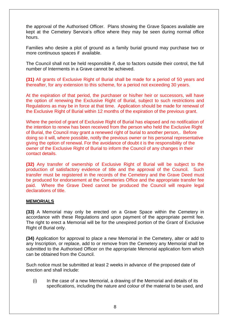the approval of the Authorised Officer. Plans showing the Grave Spaces available are kept at the Cemetery Service's office where they may be seen during normal office hours.

Families who desire a plot of ground as a family burial ground may purchase two or more continuous spaces if available.

The Council shall not be held responsible if, due to factors outside their control, the full number of Interments in a Grave cannot be achieved.

**(31)** All grants of Exclusive Right of Burial shall be made for a period of 50 years and thereafter, for any extension to this scheme, for a period not exceeding 30 years.

At the expiration of that period, the purchaser or his/her heir or successors, will have the option of renewing the Exclusive Right of Burial, subject to such restrictions and Regulations as may be in force at that time. Application should be made for renewal of the Exclusive Right of Burial within 12 months of the expiration of the previous grant.

Where the period of grant of Exclusive Right of Burial has elapsed and no notification of the intention to renew has been received from the person who held the Exclusive Right of Burial, the Council may grant a renewed right of burial to another person,. Before doing so it will, where possible, notify the previous owner or his personal representative giving the option of renewal. For the avoidance of doubt it is the responsibility of the owner of the Exclusive Right of Burial to inform the Council of any changes in their contact details.

**(32)** Any transfer of ownership of Exclusive Right of Burial will be subject to the production of satisfactory evidence of title and the approval of the Council. Such transfer must be registered in the records of the Cemetery and the Grave Deed must be produced for endorsement at the Cemeteries Office and the appropriate transfer fee paid. Where the Grave Deed cannot be produced the Council will require legal declarations of title.

#### **MEMORIALS**

**(33)** A Memorial may only be erected on a Grave Space within the Cemetery in accordance with these Regulations and upon payment of the appropriate permit fee. The right to erect a Memorial will be for the unexpired portion of the Grant of Exclusive Right of Burial only.

**(34)** Application for approval to place a new Memorial in the Cemetery, alter or add to any Inscription, or replace, add to or remove from the Cemetery any Memorial shall be submitted to the Authorised Officer on the appropriate Memorial application form which can be obtained from the Council.

Such notice must be submitted at least 2 weeks in advance of the proposed date of erection and shall include:

(i) In the case of a new Memorial, a drawing of the Memorial and details of its specifications, including the nature and colour of the material to be used, and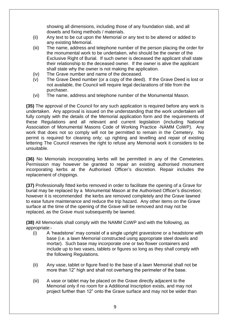showing all dimensions, including those of any foundation slab, and all dowels and fixing methods / materials.

- (ii) Any text to be cut upon the Memorial or any text to be altered or added to any existing Memorial.
- (iii) The name, address and telephone number of the person placing the order for the monumental work to be undertaken, who should be the owner of the Exclusive Right of Burial. If such owner is deceased the applicant shall state their relationship to the deceased owner. If the owner is alive the applicant shall state why the owner is not making the application.
- (iv) The Grave number and name of the deceased.
- (v) The Grave Deed number (or a copy of the deed). If the Grave Deed is lost or not available, the Council will require legal declarations of title from the purchaser.
- (vi) The name, address and telephone number of the Monumental Mason.

**(35)** The approval of the Council for any such application is required before any work is undertaken. Any approval is issued on the understanding that the work undertaken will fully comply with the details of the Memorial application form and the requirements of these Regulations and all relevant and current legislation (including National Association of Monumental Masons Code of Working Practice -NAMM CoWP). Any work that does not so comply will not be permitted to remain in the Cemetery. No permit is required for cleaning only; up righting and levelling and repair of existing lettering The Council reserves the right to refuse any Memorial work it considers to be unsuitable.

**(36)** No Memorials incorporating kerbs will be permitted in any of the Cemeteries. Permission may however be granted to repair an existing authorised monument incorporating kerbs at the Authorised Officer's discretion. Repair includes the replacement of chippings.

**(37)** Professionally fitted kerbs removed in order to facilitate the opening of a Grave for burial may be replaced by a Monumental Mason at the Authorised Officer's discretion; however it is recommended the kerbs are removed completely and the Grave lawned to ease future maintenance and reduce the trip hazard. Any other items on the Grave surface at the time of the opening of the Grave will be removed and may not be replaced, as the Grave must subsequently be lawned.

**(38)** All Memorials shall comply with the NAMM CoWP and with the following, as appropriate:-

- (i) A 'headstone' may consist of a single upright gravestone or a headstone with base (i.e. a lawn Memorial constructed using appropriate steel dowels and mortar). Such base may incorporate one or two flower containers and include up to two vases, tablets or figures so long as they shall comply with the following Regulations.
- (ii) Any vase, tablet or figure fixed to the base of a lawn Memorial shall not be more than 12" high and shall not overhang the perimeter of the base.
- (iii) A vase or tablet may be placed on the Grave directly adjacent to the Memorial only if no room for a Additional Inscription exists, and may not project further than 12" onto the Grave surface and may not be wider than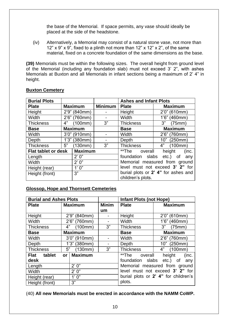the base of the Memorial. If space permits, any vase should ideally be placed at the side of the headstone.

(iv) Alternatively, a Memorial may consist of a natural stone vase, not more than 12"  $\times$  9"  $\times$  9", fixed to a plinth not more than 12"  $\times$  12"  $\times$  2", of the same material, fixed on a concrete foundation of the same dimensions as the base.

**(39)** Memorials must be within the following sizes. The overall height from ground level of the Memorial (including any foundation slab) must not exceed 3' 2", with ashes Memorials at Buxton and all Memorials in infant sections being a maximum of 2' 4" in height.

| <b>Burial Plots</b>                          |                |                 | <b>Ashes and Infant Plots</b> |                                     |                               |
|----------------------------------------------|----------------|-----------------|-------------------------------|-------------------------------------|-------------------------------|
| <b>Plate</b>                                 | <b>Maximum</b> |                 | <b>Minimum</b>                | <b>Plate</b>                        | <b>Maximum</b>                |
| Height                                       |                | 2'9" (840mm)    |                               | Height                              | $2'0''$ (610mm)               |
| Width                                        |                | 2'6" (760mm)    |                               | Width                               | 1'6" (460mm)                  |
| <b>Thickness</b>                             | 4"             | (100mm)         | 3"                            | <b>Thickness</b>                    | 3"<br>(75mm)                  |
| <b>Base</b>                                  |                | <b>Maximum</b>  |                               | <b>Base</b>                         | <b>Maximum</b>                |
| Width                                        |                | 3'0" (910mm)    |                               | Width                               | $2'6''$ (760mm)               |
| Depth                                        |                | $1'3''$ (380mm) |                               | Depth                               | 10" (250mm)                   |
| <b>Thickness</b>                             | 5"             | (130mm)         | 3"                            | <b>Thickness</b>                    | 4"<br>(100mm)                 |
| <b>Maximum</b><br><b>Flat tablet or desk</b> |                |                 | **The<br>overall              | height<br>(inc.                     |                               |
| Length                                       |                | 2'0''           |                               | foundation slabs                    | etc.) of any                  |
| <b>Width</b>                                 |                | 2' 0''          |                               |                                     | Memorial measured from ground |
| Height (rear)                                |                | 1'0''           |                               | level must not exceed 3' 2" for     |                               |
| Height (front)                               |                | 3"              |                               | burial plots or 2' 4" for ashes and |                               |
|                                              |                |                 |                               | children's plots.                   |                               |

### **Buxton Cemetery**

# **Glossop, Hope and Thornsett Cemeteries**

| <b>Burial and Ashes Plots</b> |                    |                 | <b>Infant Plots (not Hope)</b> |                  |                                      |
|-------------------------------|--------------------|-----------------|--------------------------------|------------------|--------------------------------------|
| <b>Plate</b>                  | <b>Maximum</b>     |                 | <b>Minim</b>                   | <b>Plate</b>     | <b>Maximum</b>                       |
|                               |                    |                 | um                             |                  |                                      |
| Height                        |                    | 2'9" (840mm)    | $\blacksquare$                 | Height           | $2'0''$ (610mm)                      |
| Width                         |                    | 2'6" (760mm)    |                                | Width            | 1'6" (460mm)                         |
| <b>Thickness</b>              | $4^{\prime\prime}$ | (100mm)         | 3"                             | <b>Thickness</b> | 3"<br>(75mm)                         |
| <b>Base</b>                   | <b>Maximum</b>     |                 |                                | <b>Base</b>      | <b>Maximum</b>                       |
| Width                         | 3'0" (910mm)       |                 |                                | Width            | 2'6" (760mm)                         |
| Depth                         |                    | $1'3''$ (380mm) |                                | Depth            | 10" (250mm)                          |
| <b>Thickness</b>              | 5"                 | (130mm)         | 3"                             | <b>Thickness</b> | 4"<br>(100mm)                        |
| Flat tablet                   | or                 | <b>Maximum</b>  |                                | **The<br>overall | height<br>(inc.                      |
| desk                          |                    |                 |                                | foundation slabs | etc.) of<br>any                      |
| Length                        |                    | 2' 0''          |                                |                  | Memorial measured from ground        |
| Width                         |                    | 2' 0''          |                                |                  | level must not exceed 3' 2" for      |
| Height (rear)                 |                    | 1'0''           |                                |                  | burial plots or 2' 4" for children's |
| Height (front)                |                    | 3"              |                                | plots.           |                                      |

(40) **All new Memorials must be erected in accordance with the NAMM CoWP.**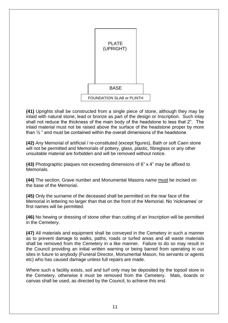

**(41)** Uprights shall be constructed from a single piece of stone, although they may be inlaid with natural stone, lead or bronze as part of the design or Inscription. Such inlay shall not reduce the thickness of the main body of the headstone to less that 2". The inlaid material must not be raised above the surface of the headstone proper by more than  $\frac{1}{2}$  " and must be contained within the overall dimensions of the headstone.

**(42)** Any Memorial of artificial / re-constituted (except figures), Bath or soft Caen stone will not be permitted and Memorials of pottery, glass, plastic, fibreglass or any other unsuitable material are forbidden and will be removed without notice.

**(43)** Photographic plaques not exceeding dimensions of 6" x 4" may be affixed to Memorials.

**(44)** The section, Grave number and Monumental Masons name must be incised on the base of the Memorial.

**(45)** Only the surname of the deceased shall be permitted on the rear face of the Memorial in lettering no larger than that on the front of the Memorial. No 'nicknames' or first names will be permitted.

**(46)** No hewing or dressing of stone other than cutting of an Inscription will be permitted in the Cemetery.

**(47)** All materials and equipment shall be conveyed in the Cemetery in such a manner as to prevent damage to walks, paths, roads or turfed areas and all waste materials shall be removed from the Cemetery in a like manner. Failure to do so may result in the Council providing an initial written warning or being barred from operating in our sites in future to anybody (Funeral Director, Monumental Mason, his servants or agents etc) who has caused damage unless full repairs are made.

Where such a facility exists, soil and turf only may be deposited by the topsoil store in the Cemetery, otherwise it must be removed from the Cemetery. Mats, boards or canvas shall be used, as directed by the Council, to achieve this end.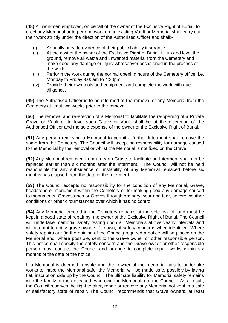**(48)** All workmen employed, on behalf of the owner of the Exclusive Right of Burial, to erect any Memorial or to perform work on an existing Vault or Memorial shall carry out their work strictly under the direction of the Authorised Officer and shall:-

- (i) Annually provide evidence of their public liability insurance.
- (ii) At the cost of the owner of the Exclusive Right of Burial, fill up and level the ground, remove all waste and unwanted material from the Cemetery and make good any damage or injury whatsoever occasioned in the process of the work.
- (iii) Perform the work during the normal opening hours of the Cemetery office, i.e. Monday to Friday 9.00am to 4:30pm.
- (iv) Provide their own tools and equipment and complete the work with due diligence.

**(49)** The Authorised Officer is to be informed of the removal of any Memorial from the Cemetery at least two weeks prior to the removal.

**(50)** The removal and re-erection of a Memorial to facilitate the re-opening of a Private Grave or Vault or to level such Grave or Vault shall be at the discretion of the Authorised Officer and the sole expense of the owner of the Exclusive Right of Burial.

**(51)** Any person removing a Memorial to permit a further Interment shall remove the same from the Cemetery. The Council will accept no responsibility for damage caused to the Memorial by the removal or whilst the Memorial is not fixed on the Grave.

**(52)** Any Memorial removed from an earth Grave to facilitate an Interment shall not be replaced earlier than six months after the Interment. The Council will not be held responsible for any subsidence or instability of any Memorial replaced before six months has elapsed from the date of the Interment.

**(53)** The Council accepts no responsibility for the condition of any Memorial, Grave, headstone or monument within the Cemetery or for making good any damage caused to monuments, Gravestones or Graves through ordinary wear and tear, severe weather conditions or other circumstances over which it has no control.

**(54)** Any Memorial erected in the Cemetery remains at the sole risk of, and must be kept in a good state of repair by, the owner of the Exclusive Right of Burial. The Council will undertake memorial safety testing upon all Memorials at five yearly intervals and will attempt to notify grave owners if known, of safety concerns when identified. Where safety repairs are (in the opinion of the Council) required a notice will be placed on the Memorial and, where possible, sent to the Grave owner or other responsible person. This notice shall specify the safety concern and the Grave owner or other responsible person must contact the Council and arrange to complete repair works within six months of the date of the notice.

If a Memorial is deemed unsafe and the owner of the memorial fails to undertake works to make the Memorial safe, the Memorial will be made safe, possibly by laying flat, inscription side up by the Council. The ultimate liability for Memorial safety remains with the family of the deceased, who own the Memorial, not the Council. As a result, the Council reserves the right to alter, repair or remove any Memorial not kept in a safe or satisfactory state of repair. The Council recommends that Grave owners, at least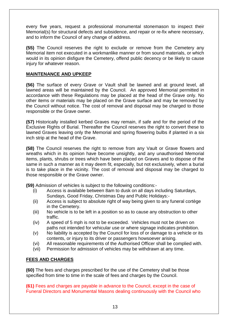every five years, request a professional monumental stonemason to inspect their Memorial(s) for structural defects and subsidence, and repair or re-fix where necessary, and to inform the Council of any change of address.

**(55)** The Council reserves the right to exclude or remove from the Cemetery any Memorial item not executed in a workmanlike manner or from sound materials, or which would in its opinion disfigure the Cemetery, offend public decency or be likely to cause injury for whatever reason.

# **MAINTENANCE AND UPKEEP**

**(56)** The surface of every Grave or Vault shall be lawned and at ground level, all lawned areas will be maintained by the Council. An approved Memorial permitted in accordance with these Regulations may be placed at the head of the Grave only. No other items or materials may be placed on the Grave surface and may be removed by the Council without notice. The cost of removal and disposal may be charged to those responsible or the Grave owner.

**(57)** Historically installed kerbed Graves may remain, if safe and for the period of the Exclusive Rights of Burial. Thereafter the Council reserves the right to convert these to lawned Graves leaving only the Memorial and spring flowering bulbs if planted in a six inch strip at the head of the Grave.

**(58)** The Council reserves the right to remove from any Vault or Grave flowers and wreaths which in its opinion have become unsightly, and any unauthorised Memorial items, plants, shrubs or trees which have been placed on Graves and to dispose of the same in such a manner as it may deem fit, especially, but not exclusively, when a burial is to take place in the vicinity. The cost of removal and disposal may be charged to those responsible or the Grave owner.

**(59)** Admission of vehicles is subject to the following conditions:-

- (i) Access is available between 8am to dusk on all days including Saturdays, Sundays, Good Friday, Christmas Day and Public Holidays:-
- (ii) Access is subject to absolute right of way being given to any funeral cortège in the Cemetery.
- (iii) No vehicle is to be left in a position so as to cause any obstruction to other traffic.
- (iv) A speed of 5 mph is not to be exceeded. Vehicles must not be driven on paths not intended for vehicular use or where signage indicates prohibition.
- (v) No liability is accepted by the Council for loss of or damage to a vehicle or its contents, or injury to its driver or passengers howsoever arising.
- (vi) All reasonable requirements of the Authorised Officer shall be complied with.
- (vii) Permission for admission of vehicles may be withdrawn at any time.

# **FEES AND CHARGES**

**(60)** The fees and charges prescribed for the use of the Cemetery shall be those specified from time to time in the scale of fees and charges by the Council.

**(61)** Fees and charges are payable in advance to the Council, except in the case of Funeral Directors and Monumental Masons dealing continuously with the Council who